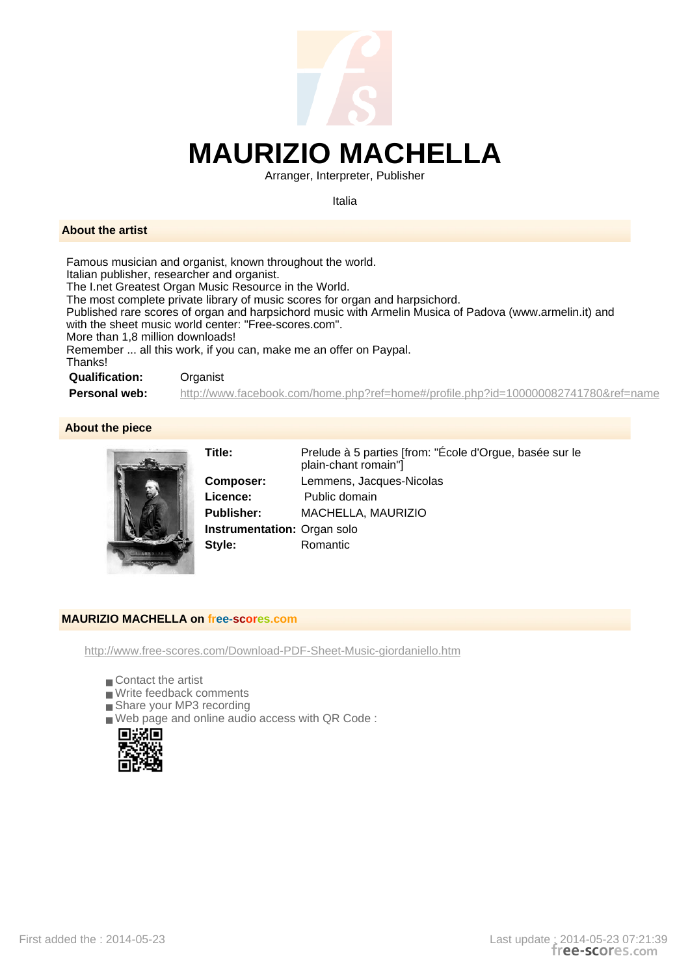

Arranger, Interpreter, Publisher

Italia

## **About the artist**

Famous musician and organist, known throughout the world. Italian publisher, researcher and organist. The I.net Greatest Organ Music Resource in the World. The most complete private library of music scores for organ and harpsichord. Published rare scores of organ and harpsichord music with Armelin Musica of Padova (www.armelin.it) and with the sheet music world center: "Free-scores.com". More than 1,8 million downloads! Remember ... all this work, if you can, make me an offer on Paypal. Thanks! **Qualification:** Organist **Personal web:** http://www.facebook.com/home.php?ref=home#/profile.php?id=100000082741780&ref=name

## **About the piece**



**Title:** Prelude à 5 parties [from: "École d'Orgue, basée sur le plain-chant romain"] **Composer:** Lemmens, Jacques-Nicolas **Licence:** Public domain **Publisher:** MACHELLA, MAURIZIO **Instrumentation:** Organ solo Style: Romantic

## **MAURIZIO MACHELLA on free-scores.com**

http://www.free-scores.com/Download-PDF-Sheet-Music-giordaniello.htm

- Contact the artist
- Write feedback comments
- Share your MP3 recording
- Web page and online audio access with QR Code :

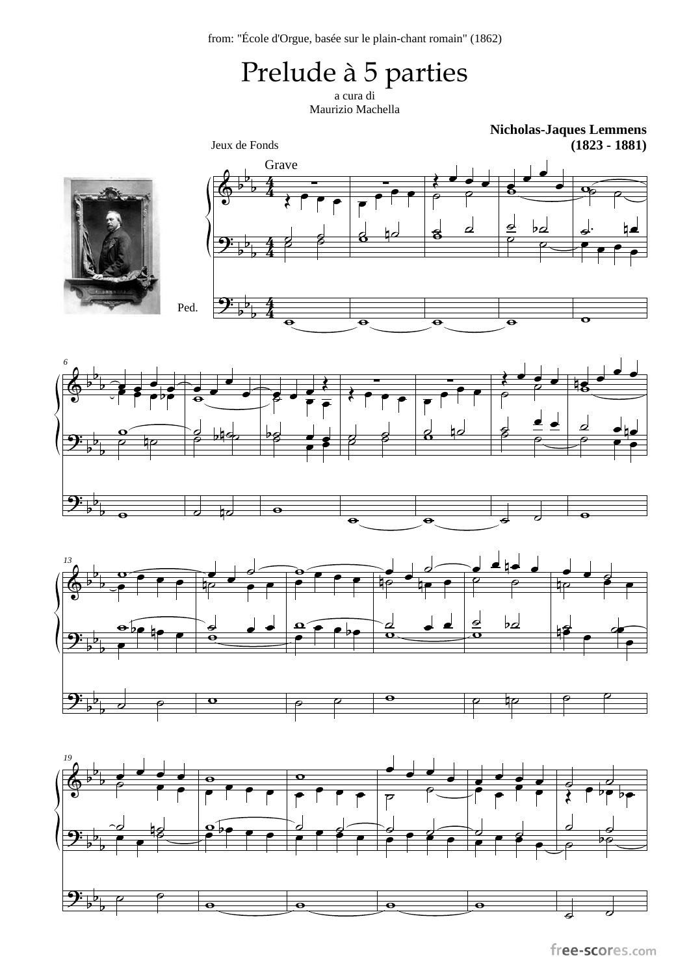from: "École d'Orgue, basée sur le plain-chant romain" (1862)

## Prelude à 5 parties

a cura di Maurizio Machella





free-scores.com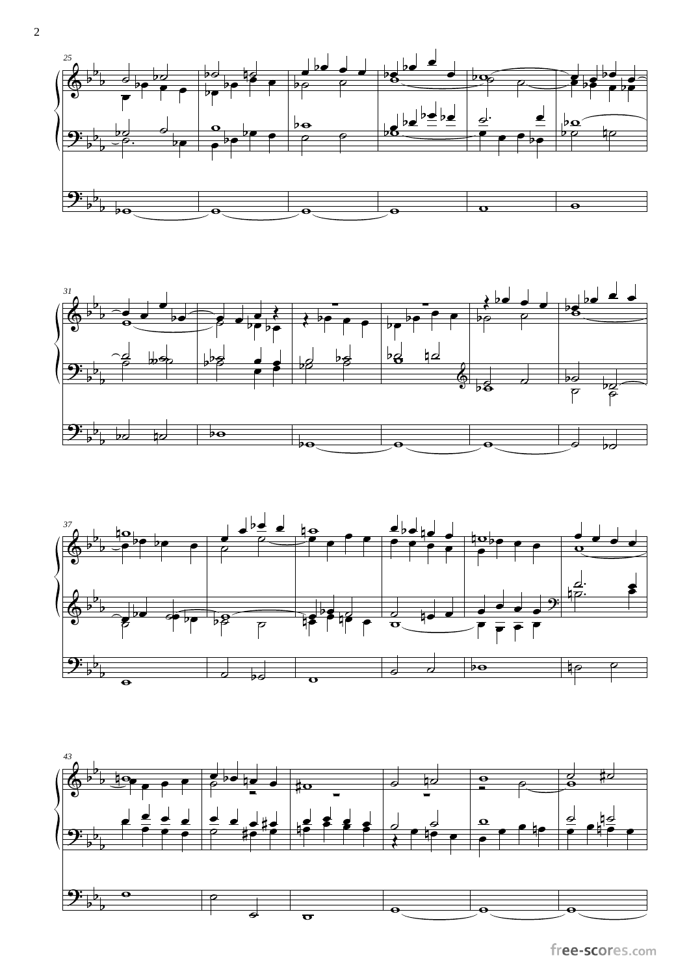







fr**ee-scor**es.com